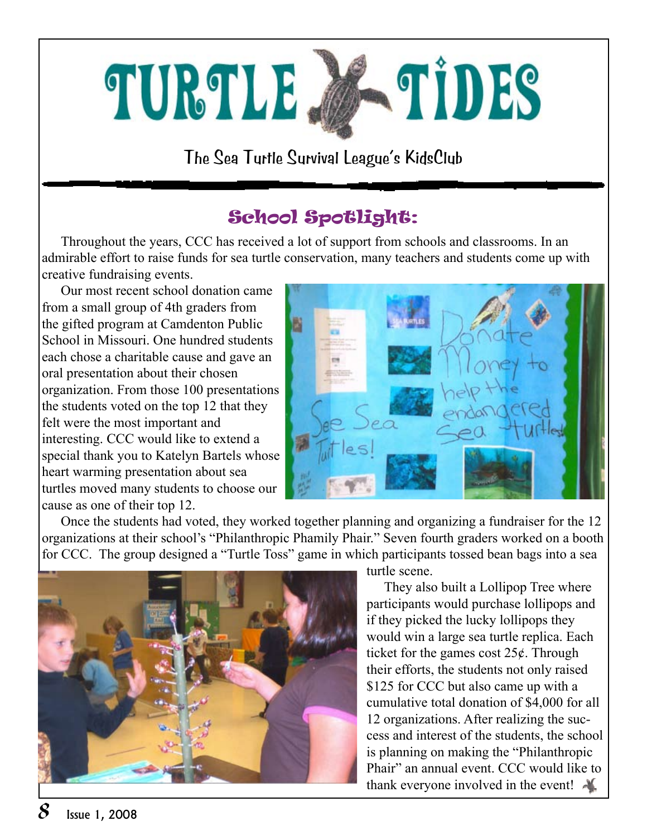

The Sea Turtle Survival League's KidsClub

## School Spotlight:

 Throughout the years, CCC has received a lot of support from schools and classrooms. In an admirable effort to raise funds for sea turtle conservation, many teachers and students come up with creative fundraising events.

 Our most recent school donation came from a small group of 4th graders from the gifted program at Camdenton Public School in Missouri. One hundred students each chose a charitable cause and gave an oral presentation about their chosen organization. From those 100 presentations the students voted on the top 12 that they felt were the most important and interesting. CCC would like to extend a special thank you to Katelyn Bartels whose heart warming presentation about sea turtles moved many students to choose our cause as one of their top 12.



 Once the students had voted, they worked together planning and organizing a fundraiser for the 12 organizations at their school's "Philanthropic Phamily Phair." Seven fourth graders worked on a booth for CCC. The group designed a "Turtle Toss" game in which participants tossed bean bags into a sea



turtle scene.

 They also built a Lollipop Tree where participants would purchase lollipops and if they picked the lucky lollipops they would win a large sea turtle replica. Each ticket for the games cost  $25¢$ . Through their efforts, the students not only raised \$125 for CCC but also came up with a cumulative total donation of \$4,000 for all 12 organizations. After realizing the success and interest of the students, the school is planning on making the "Philanthropic Phair" an annual event. CCC would like to thank everyone involved in the event!